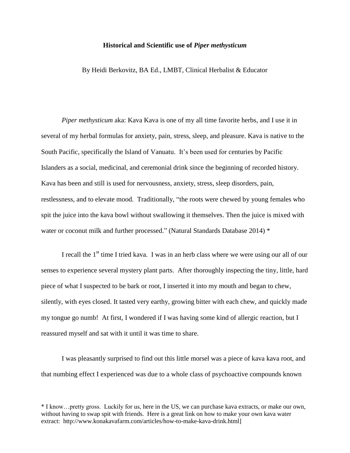## **Historical and Scientific use of** *Piper methysticum*

By Heidi Berkovitz, BA Ed., LMBT, Clinical Herbalist & Educator

*Piper methysticum* aka: Kava Kava is one of my all time favorite herbs, and I use it in several of my herbal formulas for anxiety, pain, stress, sleep, and pleasure. Kava is native to the South Pacific, specifically the Island of Vanuatu. It's been used for centuries by Pacific Islanders as a social, medicinal, and ceremonial drink since the beginning of recorded history. Kava has been and still is used for nervousness, anxiety, stress, sleep disorders, pain, restlessness, and to elevate mood. Traditionally, "the roots were chewed by young females who spit the juice into the kava bowl without swallowing it themselves. Then the juice is mixed with water or coconut milk and further processed." (Natural Standards Database 2014) \*

I recall the 1<sup>st</sup> time I tried kava. I was in an herb class where we were using our all of our senses to experience several mystery plant parts. After thoroughly inspecting the tiny, little, hard piece of what I suspected to be bark or root, I inserted it into my mouth and began to chew, silently, with eyes closed. It tasted very earthy, growing bitter with each chew, and quickly made my tongue go numb! At first, I wondered if I was having some kind of allergic reaction, but I reassured myself and sat with it until it was time to share.

I was pleasantly surprised to find out this little morsel was a piece of kava kava root, and that numbing effect I experienced was due to a whole class of psychoactive compounds known

<sup>\*</sup> I know…pretty gross. Luckily for us, here in the US, we can purchase kava extracts, or make our own, without having to swap spit with friends. Here is a great link on how to make your own kava water extract: http://www.konakavafarm.com/articles/how-to-make-kava-drink.html]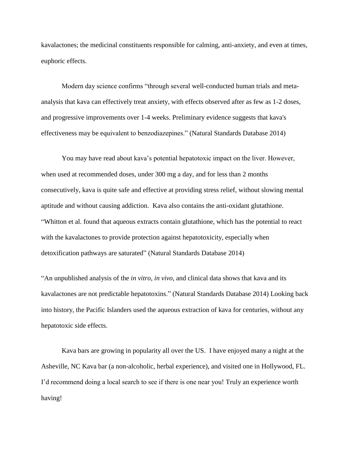kavalactones; the medicinal constituents responsible for calming, anti-anxiety, and even at times, euphoric effects.

Modern day science confirms "through several well-conducted human trials and metaanalysis that kava can effectively treat anxiety, with effects observed after as few as 1-2 doses, and progressive improvements over 1-4 weeks. Preliminary evidence suggests that kava's effectiveness may be equivalent to benzodiazepines." (Natural Standards Database 2014)

You may have read about kava's potential hepatotoxic impact on the liver. However, when used at recommended doses, under 300 mg a day, and for less than 2 months consecutively, kava is quite safe and effective at providing stress relief, without slowing mental aptitude and without causing addiction. Kava also contains the anti-oxidant glutathione. "Whitton et al. found that aqueous extracts contain glutathione, which has the potential to react with the kavalactones to provide protection against hepatotoxicity, especially when detoxification pathways are saturated" (Natural Standards Database 2014)

"An unpublished analysis of the *in vitro*, *in vivo*, and clinical data shows that kava and its kavalactones are not predictable hepatotoxins." (Natural Standards Database 2014) Looking back into history, the Pacific Islanders used the aqueous extraction of kava for centuries, without any hepatotoxic side effects.

Kava bars are growing in popularity all over the US. I have enjoyed many a night at the Asheville, NC Kava bar (a non-alcoholic, herbal experience), and visited one in Hollywood, FL. I'd recommend doing a local search to see if there is one near you! Truly an experience worth having!